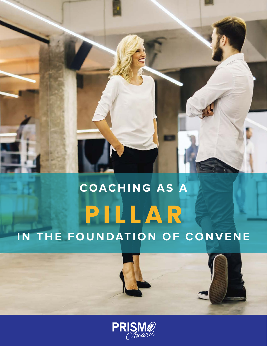# **C OAC H I N G A S A P I L L A R IN THE FOUNDATION OF CONVENE**

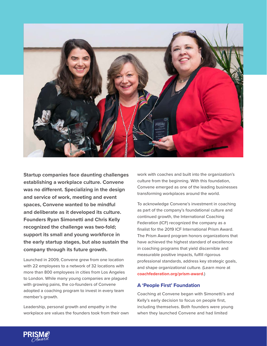

**Startup companies face daunting challenges establishing a workplace culture. Convene was no different. Specializing in the design and service of work, meeting and event spaces, Convene wanted to be mindful and deliberate as it developed its culture. Founders Ryan Simonetti and Chris Kelly recognized the challenge was two-fold; support its small and young workforce in the early startup stages, but also sustain the company through its future growth.** 

Launched in 2009, Convene grew from one location with 22 employees to a network of 32 locations with more than 800 employees in cities from Los Angeles to London. While many young companies are plagued with growing pains, the co-founders of Convene adopted a coaching program to invest in every team member's growth.

Leadership, personal growth and empathy in the workplace are values the founders took from their own work with coaches and built into the organization's culture from the beginning. With this foundation, Convene emerged as one of the leading businesses transforming workplaces around the world.

To acknowledge Convene's investment in coaching as part of the company's foundational culture and continued growth, the International Coaching Federation (ICF) recognized the company as a finalist for the 2019 ICF International Prism Award. The Prism Award program honors organizations that have achieved the highest standard of excellence in coaching programs that yield discernible and measurable positive impacts, fulfill rigorous professional standards, address key strategic goals, and shape organizational culture. (Learn more at **[coachfederation.org/prism-award](http://coachfederation.org/prism-award)**.)

#### **A 'People First' Foundation**

Coaching at Convene began with Simonetti's and Kelly's early decision to focus on people first, including themselves. Both founders were young when they launched Convene and had limited

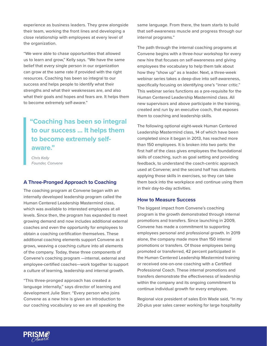experience as business leaders. They grew alongside their team, working the front lines and developing a close relationship with employees at every level of the organization.

"We were able to chase opportunities that allowed us to learn and grow," Kelly says. "We have the same belief that every single person in our organization can grow at the same rate if provided with the right resources. Coaching has been so integral to our success and helps people to identify what their strengths and what their weaknesses are, and also what their goals and hopes and fears are. It helps them to become extremely self-aware."

# **"Coaching has been so integral to our success ... It helps them to become extremely selfaware."**

*Chris Kelly Founder, Convene*

## **A Three-Pronged Approach to Coaching**

The coaching program at Convene began with an internally developed leadership program called the Human Centered Leadership Mastermind class, which was available to interested employees at all levels. Since then, the program has expanded to meet growing demand and now includes additional external coaches and even the opportunity for employees to obtain a coaching certification themselves. These additional coaching elements support Convene as it grows, weaving a coaching culture into all elements of the company. Today, these three components of Convene's coaching program —internal, external and employee-certified coaches—work together to support a culture of learning, leadership and internal growth.

"This three-pronged approach has created a language internally," says director of learning and development Julie Starr. "Every person who joins Convene as a new hire is given an introduction to our coaching vocabulary so we are all speaking the same language. From there, the team starts to build that self-awareness muscle and progress through our internal programs."

The path through the internal coaching programs at Convene begins with a three-hour workshop for every new hire that focuses on self-awareness and giving employees the vocabulary to help them talk about how they "show up" as a leader. Next, a three-week webinar series takes a deep-dive into self-awareness, specifically focusing on identifying one's "inner critic." This webinar series functions as a pre-requisite for the Human Centered Leadership Mastermind class. All new supervisors and above participate in the training, created and run by an executive coach, that exposes them to coaching and leadership skills.

The following optional eight-week Human Centered Leadership Mastermind class, 14 of which have been completed since it began in 2013, has reached more than 150 employees. It is broken into two parts: the first half of the class gives employees the foundational skills of coaching, such as goal setting and providing feedback, to understand the coach-centric approach used at Convene; and the second half has students applying those skills in exercises, so they can take them back into the workplace and continue using them in their day-to-day activities.

#### **How to Measure Success**

The biggest impact from Convene's coaching program is the growth demonstrated through internal promotions and transfers. Since launching in 2009, Convene has made a commitment to supporting employees personal and professional growth. In 2019 alone, the company made more than 150 internal promotions or transfers. Of those employees being promoted or transferred, 42 percent participated in the Human Centered Leadership Mastermind training or received one-on-one coaching with a Certified Professional Coach. These internal promotions and transfers demonstrate the effectiveness of leadership within the company and its ongoing commitment to continue individual growth for every employee.

Regional vice president of sales Erin Wade said, "In my 20-plus year sales career working for large hospitality